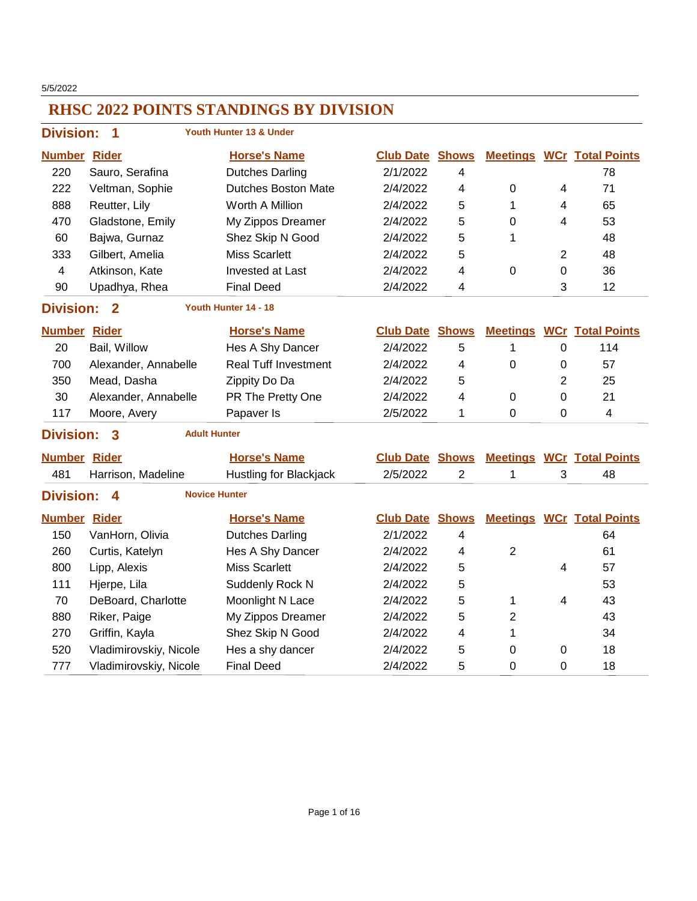5/5/2022

|                     | <b>Division:</b><br>Youth Hunter 13 & Under<br>1           |                             |                        |                |                 |                |                                  |  |  |  |
|---------------------|------------------------------------------------------------|-----------------------------|------------------------|----------------|-----------------|----------------|----------------------------------|--|--|--|
| <b>Number Rider</b> |                                                            | <b>Horse's Name</b>         | <b>Club Date</b>       | <b>Shows</b>   |                 |                | <b>Meetings WCr Total Points</b> |  |  |  |
| 220                 | Sauro, Serafina                                            | <b>Dutches Darling</b>      | 2/1/2022               | 4              |                 |                | 78                               |  |  |  |
| 222                 | Veltman, Sophie                                            | <b>Dutches Boston Mate</b>  | 2/4/2022               | 4              | 0               | 4              | 71                               |  |  |  |
| 888                 | Reutter, Lily                                              | Worth A Million             | 2/4/2022               | 5              | 1               | 4              | 65                               |  |  |  |
| 470                 | Gladstone, Emily                                           | My Zippos Dreamer           | 2/4/2022               | 5              | 0               | 4              | 53                               |  |  |  |
| 60                  | Bajwa, Gurnaz                                              | Shez Skip N Good            | 2/4/2022               | 5              | 1               |                | 48                               |  |  |  |
| 333                 | Gilbert, Amelia                                            | <b>Miss Scarlett</b>        | 2/4/2022               | 5              |                 | $\overline{2}$ | 48                               |  |  |  |
| 4                   | Atkinson, Kate                                             | <b>Invested at Last</b>     | 2/4/2022               | 4              | 0               | 0              | 36                               |  |  |  |
| 90                  | Upadhya, Rhea                                              | <b>Final Deed</b>           | 2/4/2022               | 4              |                 | 3              | 12                               |  |  |  |
|                     | <b>Division:</b><br>Youth Hunter 14 - 18<br>$\overline{2}$ |                             |                        |                |                 |                |                                  |  |  |  |
| <b>Number Rider</b> |                                                            | <b>Horse's Name</b>         | <b>Club Date</b>       | <b>Shows</b>   | <b>Meetings</b> |                | <b>WCr</b> Total Points          |  |  |  |
| 20                  | Bail, Willow                                               | Hes A Shy Dancer            | 2/4/2022               | 5              | $\mathbf{1}$    | $\mathbf 0$    | 114                              |  |  |  |
| 700                 | Alexander, Annabelle                                       | <b>Real Tuff Investment</b> | 2/4/2022               | 4              | 0               | 0              | 57                               |  |  |  |
| 350                 | Mead, Dasha                                                | Zippity Do Da               | 2/4/2022               | 5              |                 | $\overline{2}$ | 25                               |  |  |  |
| 30                  | Alexander, Annabelle                                       | PR The Pretty One           | 2/4/2022               | 4              | 0               | 0              | 21                               |  |  |  |
| 117                 | Moore, Avery                                               | Papaver Is                  | 2/5/2022               | 1              | $\mathbf 0$     | 0              | $\overline{\mathbf{4}}$          |  |  |  |
| <b>Division:</b>    | 3<br><b>Adult Hunter</b>                                   |                             |                        |                |                 |                |                                  |  |  |  |
| <b>Number Rider</b> |                                                            | <b>Horse's Name</b>         | <b>Club Date Shows</b> |                |                 |                | <b>Meetings WCr Total Points</b> |  |  |  |
| 481                 | Harrison, Madeline                                         | Hustling for Blackjack      | 2/5/2022               | $\overline{2}$ | $\mathbf 1$     | 3              | 48                               |  |  |  |
| <b>Division:</b>    | $\boldsymbol{4}$                                           | <b>Novice Hunter</b>        |                        |                |                 |                |                                  |  |  |  |
| <b>Number Rider</b> |                                                            | <b>Horse's Name</b>         | <b>Club Date</b>       | <b>Shows</b>   |                 |                | <b>Meetings WCr Total Points</b> |  |  |  |
| 150                 | VanHorn, Olivia                                            | <b>Dutches Darling</b>      | 2/1/2022               | 4              |                 |                | 64                               |  |  |  |
| 260                 | Curtis, Katelyn                                            | Hes A Shy Dancer            | 2/4/2022               | 4              | $\overline{2}$  |                | 61                               |  |  |  |
| 800                 | Lipp, Alexis                                               | <b>Miss Scarlett</b>        | 2/4/2022               | 5              |                 | 4              | 57                               |  |  |  |
| 111                 | Hjerpe, Lila                                               | Suddenly Rock N             | 2/4/2022               | 5              |                 |                | 53                               |  |  |  |
| 70                  | DeBoard, Charlotte                                         | Moonlight N Lace            | 2/4/2022               | 5              | 1               | 4              | 43                               |  |  |  |
| 880                 | Riker, Paige                                               | My Zippos Dreamer           | 2/4/2022               | 5              | $\overline{2}$  |                | 43                               |  |  |  |
| 270                 | Griffin, Kayla                                             | Shez Skip N Good            | 2/4/2022               | 4              | 1               |                | 34                               |  |  |  |
| 520                 | Vladimirovskiy, Nicole                                     | Hes a shy dancer            | 2/4/2022               | 5              | 0               | 0              | 18                               |  |  |  |
| 777                 | Vladimirovskiy, Nicole                                     | <b>Final Deed</b>           | 2/4/2022               | 5              | 0               | 0              | 18                               |  |  |  |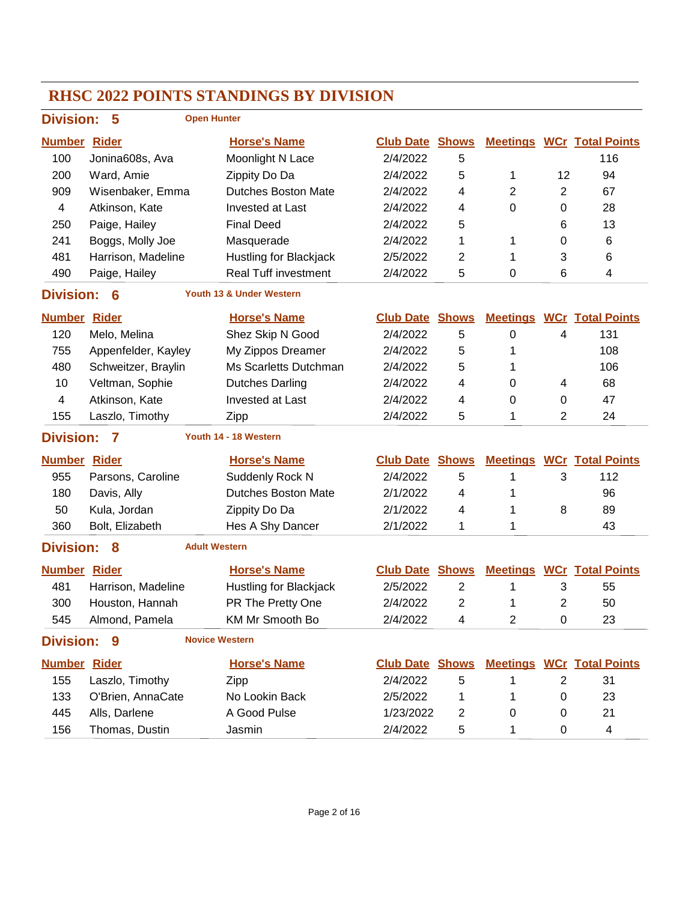#### **RHSC 2022 POINTS STANDINGS BY DIVISION Division: 5 Number Rider Horse's Name Club Date Total Points Shows Meetings WCr Open Hunter** 100 Jonina608s, Ava Moonlight N Lace 2/4/2022 5 116 200 Ward, Amie Zippity Do Da 2/4/2022 5 1 12 94 909 Wisenbaker, Emma Dutches Boston Mate 2/4/2022 4 2 2 67 4 Atkinson, Kate Invested at Last 2/4/2022 4 0 0 28 250 Paige, Hailey Final Deed 2/4/2022 5 6 13 241 Boggs, Molly Joe Masquerade 2/4/2022 1 1 0 6 481 Harrison, Madeline Hustling for Blackjack 2/5/2022 2 1 3 6 490 Paige, Hailey **Real Tuff investment** 2/4/2022 5 0 6 4 **Division: 6 Number Rider Horse's Name Club Date Total Points Shows Meetings WCr Youth 13 & Under Western** 120 Melo, Melina Shez Skip N Good 2/4/2022 5 0 4 131 755 Appenfelder, Kayley My Zippos Dreamer 2/4/2022 5 1 108 480 Schweitzer, Braylin Ms Scarletts Dutchman 2/4/2022 5 1 106 10 Veltman, Sophie Dutches Darling  $2/4/2022$  4 0 4 68 4 Atkinson, Kate Invested at Last 2/4/2022 4 0 0 47 155 Laszlo, Timothy 2/ipp 2/4/2022 5 1 2 24 **Division: 7 Number Rider Horse's Name Club Date Total Points Shows Meetings WCr Youth 14 - 18 Western** 955 Parsons, Caroline Suddenly Rock N 2/4/2022 5 1 3 112 180 Davis, Ally Dutches Boston Mate 2/1/2022 4 1 96 50 Kula, Jordan Zippity Do Da 2/1/2022 4 1 8 89 360 Bolt, Elizabeth Hes A Shy Dancer 2/1/2022 1 1 1 43 **Division: 8 Number Rider Horse's Name Club Date Total Points Shows Meetings WCr Adult Western** 481 Harrison, Madeline Hustling for Blackjack 2/5/2022 2 1 3 55 300 Houston, Hannah PR The Pretty One  $2/4/2022$  2 1 2 50 545 Almond, Pamela KM Mr Smooth Bo  $\frac{2}{4}$  22 4 2 0 23 **Division: 9 Number Rider Horse's Name Club Date Total Points Shows Meetings WCr Novice Western** 155 Laszlo, Timothy Zipp 2/4/2022 5 1 2 31 133 O'Brien, AnnaCate No Lookin Back 2/5/2022 1 1 0 23 445 Alls, Darlene A Good Pulse 1/23/2022 2 0 0 21 156 Thomas, Dustin Jasmin 2/4/2022 5 1 0 4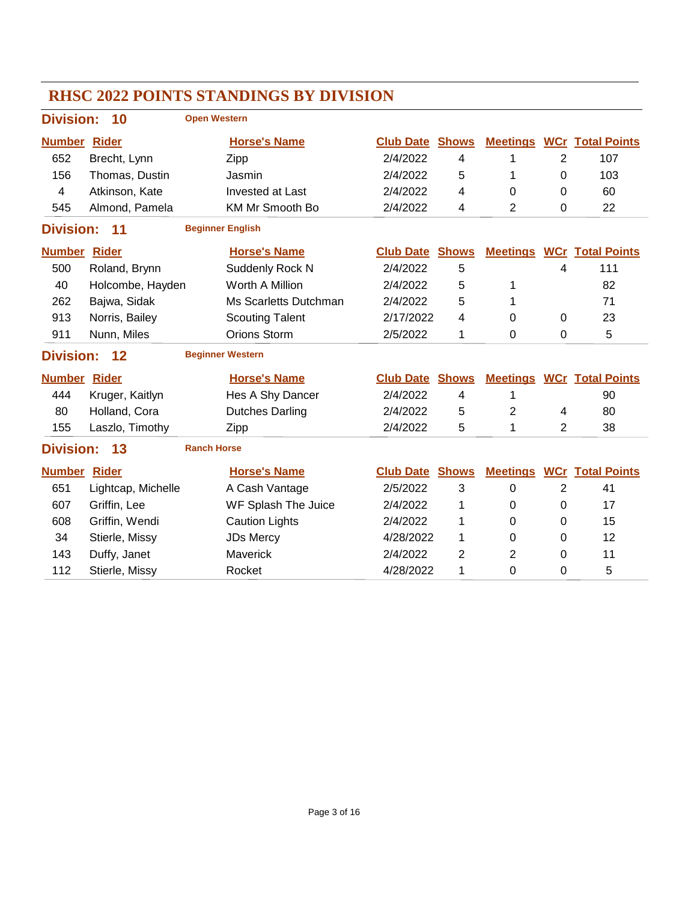|                     |                    |                     | <b>RHSC 2022 POINTS STANDINGS BY DIVISION</b> |                  |                          |                 |                |                         |
|---------------------|--------------------|---------------------|-----------------------------------------------|------------------|--------------------------|-----------------|----------------|-------------------------|
| <b>Division:</b>    | 10                 | <b>Open Western</b> |                                               |                  |                          |                 |                |                         |
| <b>Number Rider</b> |                    |                     | <b>Horse's Name</b>                           | <b>Club Date</b> | <b>Shows</b>             | <b>Meetings</b> |                | <b>WCr</b> Total Points |
| 652                 | Brecht, Lynn       |                     | Zipp                                          | 2/4/2022         | 4                        | 1               | $\overline{2}$ | 107                     |
| 156                 | Thomas, Dustin     |                     | Jasmin                                        | 2/4/2022         | 5                        | 1               | $\Omega$       | 103                     |
| 4                   | Atkinson, Kate     |                     | Invested at Last                              | 2/4/2022         | 4                        | 0               | 0              | 60                      |
| 545                 | Almond, Pamela     |                     | <b>KM Mr Smooth Bo</b>                        | 2/4/2022         | 4                        | $\overline{2}$  | $\mathbf 0$    | 22                      |
| <b>Division:</b>    | 11                 |                     | <b>Beginner English</b>                       |                  |                          |                 |                |                         |
| <b>Number Rider</b> |                    |                     | <b>Horse's Name</b>                           | <b>Club Date</b> | <b>Shows</b>             | <b>Meetings</b> |                | <b>WCr</b> Total Points |
| 500                 | Roland, Brynn      |                     | Suddenly Rock N                               | 2/4/2022         | 5                        |                 | 4              | 111                     |
| 40                  | Holcombe, Hayden   |                     | Worth A Million                               | 2/4/2022         | 5                        | 1               |                | 82                      |
| 262                 | Bajwa, Sidak       |                     | Ms Scarletts Dutchman                         | 2/4/2022         | 5                        | 1               |                | 71                      |
| 913                 | Norris, Bailey     |                     | <b>Scouting Talent</b>                        | 2/17/2022        | 4                        | 0               | $\Omega$       | 23                      |
| 911                 | Nunn, Miles        |                     | Orions Storm                                  | 2/5/2022         | 1                        | 0               | 0              | 5                       |
| <b>Division:</b>    | 12                 |                     | <b>Beginner Western</b>                       |                  |                          |                 |                |                         |
| <b>Number Rider</b> |                    |                     | <b>Horse's Name</b>                           | <b>Club Date</b> | <b>Shows</b>             | <b>Meetings</b> |                | <b>WCr</b> Total Points |
| 444                 | Kruger, Kaitlyn    |                     | Hes A Shy Dancer                              | 2/4/2022         | $\overline{\mathcal{A}}$ | 1               |                | 90                      |
| 80                  | Holland, Cora      |                     | <b>Dutches Darling</b>                        | 2/4/2022         | 5                        | $\overline{2}$  | 4              | 80                      |
| 155                 | Laszlo, Timothy    |                     | Zipp                                          | 2/4/2022         | 5                        | 1               | 2              | 38                      |
| <b>Division:</b>    | 13                 | <b>Ranch Horse</b>  |                                               |                  |                          |                 |                |                         |
| <b>Number Rider</b> |                    |                     | <b>Horse's Name</b>                           | <b>Club Date</b> | <b>Shows</b>             | <b>Meetings</b> |                | <b>WCr</b> Total Points |
| 651                 | Lightcap, Michelle |                     | A Cash Vantage                                | 2/5/2022         | 3                        | 0               | $\overline{2}$ | 41                      |
| 607                 | Griffin, Lee       |                     | WF Splash The Juice                           | 2/4/2022         | 1                        | 0               | $\mathbf 0$    | 17                      |
| 608                 | Griffin, Wendi     |                     | <b>Caution Lights</b>                         | 2/4/2022         | 1                        | 0               | 0              | 15                      |
| 34                  | Stierle, Missy     |                     | <b>JDs Mercy</b>                              | 4/28/2022        | 1                        | 0               | $\mathbf 0$    | 12                      |
| 143                 | Duffy, Janet       |                     | Maverick                                      | 2/4/2022         | 2                        | 2               | $\Omega$       | 11                      |
| 112                 | Stierle, Missy     |                     | Rocket                                        | 4/28/2022        | 1                        | 0               | 0              | 5                       |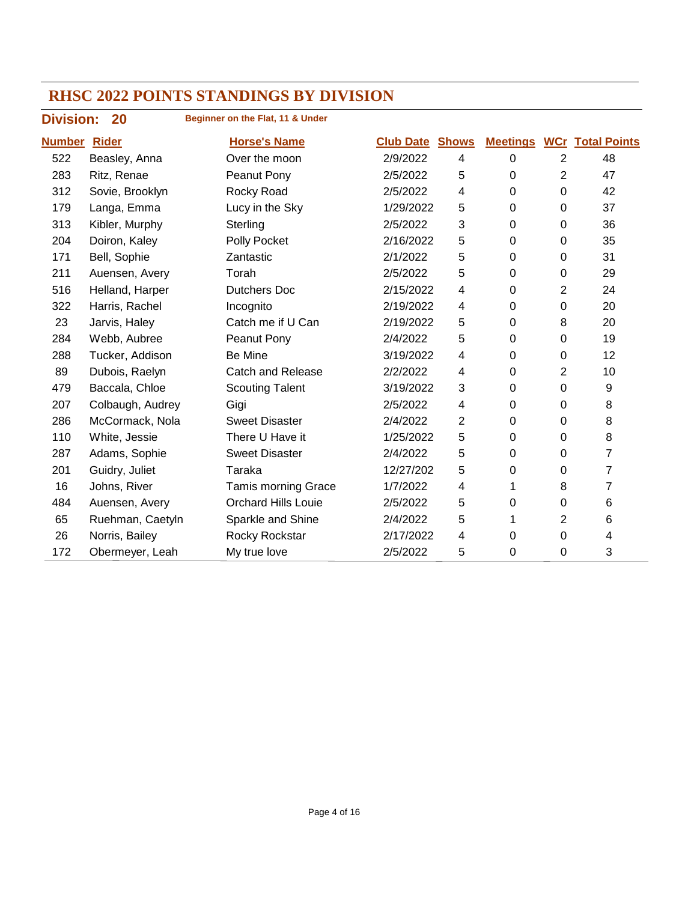**Beginner on the Flat, 11 & Under**

### **Division: 20 Number Rider Horse's Name Club Date Total Points Shows Meetings WCr** Beasley, Anna Over the moon 2/9/2022 4 0 2 48 Ritz, Renae Peanut Pony 2/5/2022 5 0 2 47 Sovie, Brooklyn Rocky Road 2/5/2022 4 0 0 42 179 Langa, Emma Lucy in the Sky 1/29/2022 5 0 0 37 Kibler, Murphy Sterling 2/5/2022 3 0 0 36 Doiron, Kaley Polly Pocket 2/16/2022 5 0 0 35 Bell, Sophie Zantastic 2/1/2022 5 0 0 31 Auensen, Avery Torah 2/5/2022 5 0 0 29 Helland, Harper Dutchers Doc 2/15/2022 4 0 2 24 Harris, Rachel Incognito 2/19/2022 4 0 0 20 Jarvis, Haley Catch me if U Can 2/19/2022 5 0 8 20 Webb, Aubree Peanut Pony 2/4/2022 5 0 0 19 Tucker, Addison Be Mine 3/19/2022 4 0 0 12 89 Dubois, Raelyn Catch and Release 2/2/2022 4 0 2 10 Baccala, Chloe Scouting Talent 3/19/2022 3 0 0 9 Colbaugh, Audrey Gigi 2/5/2022 4 0 0 8 McCormack, Nola Sweet Disaster 2/4/2022 2 0 0 8 White, Jessie There U Have it 1/25/2022 5 0 0 8 287 Adams, Sophie Sweet Disaster 2/4/2022 5 0 0 7 Guidry, Juliet Taraka 12/27/202 5 0 0 7 16 Johns, River **Tamis morning Grace** 1/7/2022 4 1 8 7 Auensen, Avery Orchard Hills Louie 2/5/2022 5 0 0 6 Ruehman, Caetyln Sparkle and Shine 2/4/2022 5 1 2 6 Norris, Bailey Rocky Rockstar 2/17/2022 4 0 0 4 172 Obermeyer, Leah My true love 2/5/2022 5 0 0 3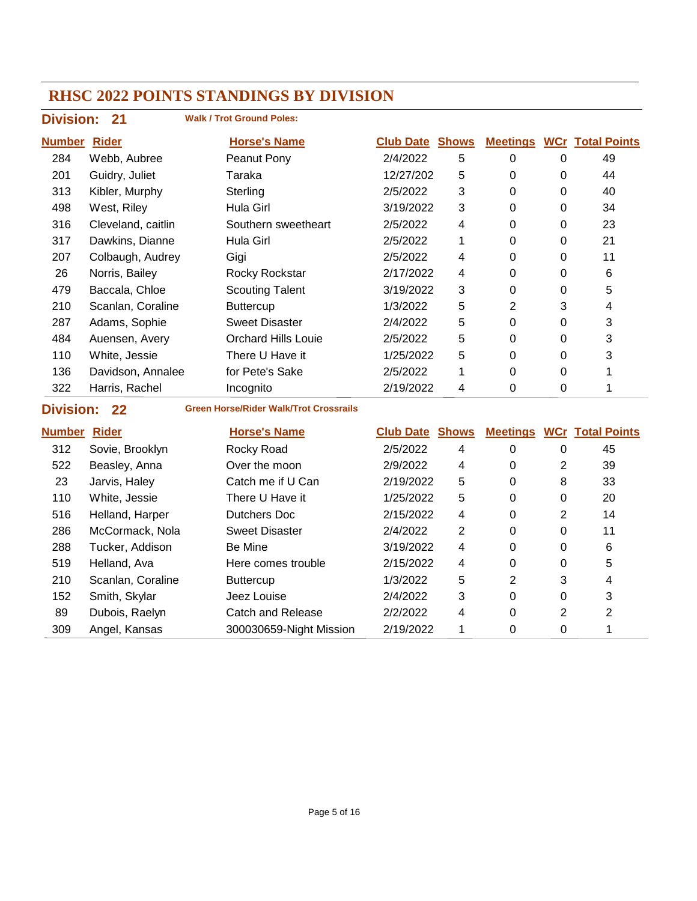| <b>Division:</b>    | 21                 | <b>Walk / Trot Ground Poles:</b>              |                        |                |                |                |                                  |
|---------------------|--------------------|-----------------------------------------------|------------------------|----------------|----------------|----------------|----------------------------------|
| <b>Number Rider</b> |                    | <b>Horse's Name</b>                           | <b>Club Date Shows</b> |                |                |                | <b>Meetings WCr Total Points</b> |
| 284                 | Webb, Aubree       | Peanut Pony                                   | 2/4/2022               | 5              | $\mathbf 0$    | 0              | 49                               |
| 201                 | Guidry, Juliet     | Taraka                                        | 12/27/202              | 5              | $\mathbf 0$    | 0              | 44                               |
| 313                 | Kibler, Murphy     | Sterling                                      | 2/5/2022               | 3              | $\mathbf 0$    | 0              | 40                               |
| 498                 | West, Riley        | Hula Girl                                     | 3/19/2022              | 3              | $\mathbf 0$    | $\mathbf 0$    | 34                               |
| 316                 | Cleveland, caitlin | Southern sweetheart                           | 2/5/2022               | 4              | 0              | 0              | 23                               |
| 317                 | Dawkins, Dianne    | <b>Hula Girl</b>                              | 2/5/2022               | 1              | 0              | $\mathbf 0$    | 21                               |
| 207                 | Colbaugh, Audrey   | Gigi                                          | 2/5/2022               | 4              | 0              | $\mathbf 0$    | 11                               |
| 26                  | Norris, Bailey     | Rocky Rockstar                                | 2/17/2022              | 4              | 0              | 0              | 6                                |
| 479                 | Baccala, Chloe     | <b>Scouting Talent</b>                        | 3/19/2022              | 3              | $\mathbf 0$    | $\mathbf 0$    | 5                                |
| 210                 | Scanlan, Coraline  | <b>Buttercup</b>                              | 1/3/2022               | 5              | 2              | 3              | 4                                |
| 287                 | Adams, Sophie      | <b>Sweet Disaster</b>                         | 2/4/2022               | 5              | $\mathbf 0$    | $\mathbf 0$    | 3                                |
| 484                 | Auensen, Avery     | <b>Orchard Hills Louie</b>                    | 2/5/2022               | 5              | 0              | 0              | 3                                |
| 110                 | White, Jessie      | There U Have it                               | 1/25/2022              | 5              | $\mathbf 0$    | $\mathbf 0$    | 3                                |
| 136                 | Davidson, Annalee  | for Pete's Sake                               | 2/5/2022               | 1              | 0              | $\overline{0}$ | 1                                |
| 322                 | Harris, Rachel     | Incognito                                     | 2/19/2022              | 4              | 0              | 0              | 1                                |
| <b>Division:</b>    | 22                 | <b>Green Horse/Rider Walk/Trot Crossrails</b> |                        |                |                |                |                                  |
| <b>Number Rider</b> |                    | <b>Horse's Name</b>                           | <b>Club Date Shows</b> |                |                |                | <b>Meetings WCr Total Points</b> |
| 312                 | Sovie, Brooklyn    | Rocky Road                                    | 2/5/2022               | 4              | $\mathbf 0$    | $\mathbf 0$    | 45                               |
| 522                 | Beasley, Anna      | Over the moon                                 | 2/9/2022               | 4              | $\mathbf 0$    | 2              | 39                               |
| 23                  | Jarvis, Haley      | Catch me if U Can                             | 2/19/2022              | 5              | $\mathbf 0$    | 8              | 33                               |
| 110                 | White, Jessie      | There U Have it                               | 1/25/2022              | 5              | $\mathbf 0$    | $\mathbf 0$    | 20                               |
| 516                 | Helland, Harper    | <b>Dutchers Doc</b>                           | 2/15/2022              | 4              | $\mathbf 0$    | $\overline{2}$ | 14                               |
| 286                 | McCormack, Nola    | <b>Sweet Disaster</b>                         | 2/4/2022               | $\overline{2}$ | 0              | $\mathbf 0$    | 11                               |
| 288                 | Tucker, Addison    | Be Mine                                       | 3/19/2022              | 4              | 0              | 0              | 6                                |
| 519                 | Helland, Ava       | Here comes trouble                            | 2/15/2022              | 4              | $\Omega$       | 0              | 5                                |
| 210                 | Scanlan, Coraline  | <b>Buttercup</b>                              | 1/3/2022               | 5              | $\overline{2}$ | 3              | 4                                |
| 152                 | Smith, Skylar      | Jeez Louise                                   | 2/4/2022               | 3              | $\mathbf 0$    | 0              | 3                                |
| 89                  | Dubois, Raelyn     | <b>Catch and Release</b>                      | 2/2/2022               | 4              | 0              | $\overline{2}$ | $\overline{2}$                   |

309 Angel, Kansas 300030659-Night Mission 2/19/2022 1 0 0 1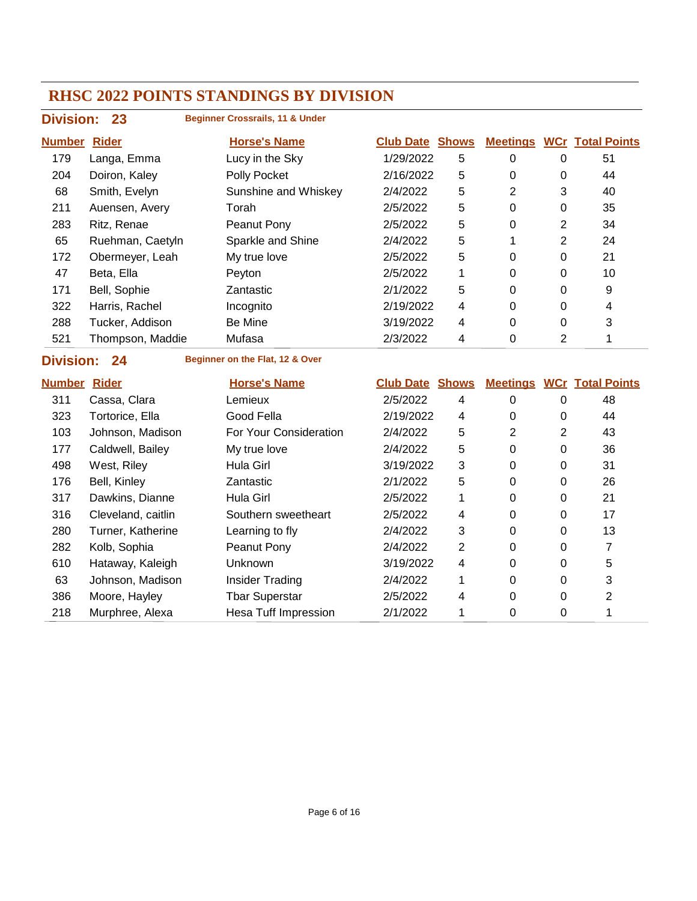| <b>Division: 23</b>  |                  | <b>Beginner Crossrails, 11 &amp; Under</b> |                        |   |                 |          |                         |
|----------------------|------------------|--------------------------------------------|------------------------|---|-----------------|----------|-------------------------|
| <u>Number</u>        | <b>Rider</b>     | <b>Horse's Name</b>                        | <b>Club Date Shows</b> |   | <b>Meetings</b> |          | <b>WCr</b> Total Points |
| 179                  | Langa, Emma      | Lucy in the Sky                            | 1/29/2022              | 5 | 0               | 0        | 51                      |
| 204                  | Doiron, Kaley    | Polly Pocket                               | 2/16/2022              | 5 | 0               | 0        | 44                      |
| 68                   | Smith, Evelyn    | Sunshine and Whiskey                       | 2/4/2022               | 5 | 2               | 3        | 40                      |
| 211                  | Auensen, Avery   | Torah                                      | 2/5/2022               | 5 | 0               | 0        | 35                      |
| 283                  | Ritz, Renae      | Peanut Pony                                | 2/5/2022               | 5 | 0               | 2        | 34                      |
| 65                   | Ruehman, Caetyln | Sparkle and Shine                          | 2/4/2022               | 5 |                 | 2        | 24                      |
| 172                  | Obermeyer, Leah  | My true love                               | 2/5/2022               | 5 | 0               | 0        | 21                      |
| 47                   | Beta, Ella       | Peyton                                     | 2/5/2022               | 1 | 0               | 0        | 10                      |
| 171                  | Bell, Sophie     | Zantastic                                  | 2/1/2022               | 5 | 0               | 0        | 9                       |
| 322                  | Harris, Rachel   | Incognito                                  | 2/19/2022              | 4 | $\Omega$        | 0        | 4                       |
| 288                  | Tucker, Addison  | Be Mine                                    | 3/19/2022              | 4 | 0               | $\Omega$ | 3                       |
| 521                  | Thompson, Maddie | Mufasa                                     | 2/3/2022               | 4 | 0               | 2        |                         |
| <b>Districtor</b> 04 |                  | <b>Deginner on the Elat 19.8 Over</b>      |                        |   |                 |          |                         |

# **Division: 24**

**Beginner on the Flat, 12 & Over**

| <b>Number</b> | <b>Rider</b>       | <b>Horse's Name</b>         | <b>Club Date</b> | <b>Shows</b> | <b>Meetings</b> |   | <b>WCr Total Points</b> |
|---------------|--------------------|-----------------------------|------------------|--------------|-----------------|---|-------------------------|
| 311           | Cassa, Clara       | Lemieux                     | 2/5/2022         | 4            | $\Omega$        | 0 | 48                      |
| 323           | Tortorice, Ella    | Good Fella                  | 2/19/2022        | 4            | $\Omega$        | 0 | 44                      |
| 103           | Johnson, Madison   | For Your Consideration      | 2/4/2022         | 5            | 2               | 2 | 43                      |
| 177           | Caldwell, Bailey   | My true love                | 2/4/2022         | 5            | $\Omega$        | 0 | 36                      |
| 498           | West, Riley        | Hula Girl                   | 3/19/2022        | 3            | 0               | 0 | 31                      |
| 176           | Bell, Kinley       | Zantastic                   | 2/1/2022         | 5            | 0               | 0 | 26                      |
| 317           | Dawkins, Dianne    | Hula Girl                   | 2/5/2022         | 1            | $\Omega$        | 0 | 21                      |
| 316           | Cleveland, caitlin | Southern sweetheart         | 2/5/2022         | 4            | $\Omega$        | 0 | 17                      |
| 280           | Turner, Katherine  | Learning to fly             | 2/4/2022         | 3            | $\Omega$        | 0 | 13                      |
| 282           | Kolb, Sophia       | Peanut Pony                 | 2/4/2022         | 2            | 0               | 0 |                         |
| 610           | Hataway, Kaleigh   | Unknown                     | 3/19/2022        | 4            | 0               | 0 | 5                       |
| 63            | Johnson, Madison   | Insider Trading             | 2/4/2022         | 1            | 0               | 0 | 3                       |
| 386           | Moore, Hayley      | <b>Tbar Superstar</b>       | 2/5/2022         | 4            | $\Omega$        | 0 | $\overline{2}$          |
| 218           | Murphree, Alexa    | <b>Hesa Tuff Impression</b> | 2/1/2022         | 1            | 0               | 0 |                         |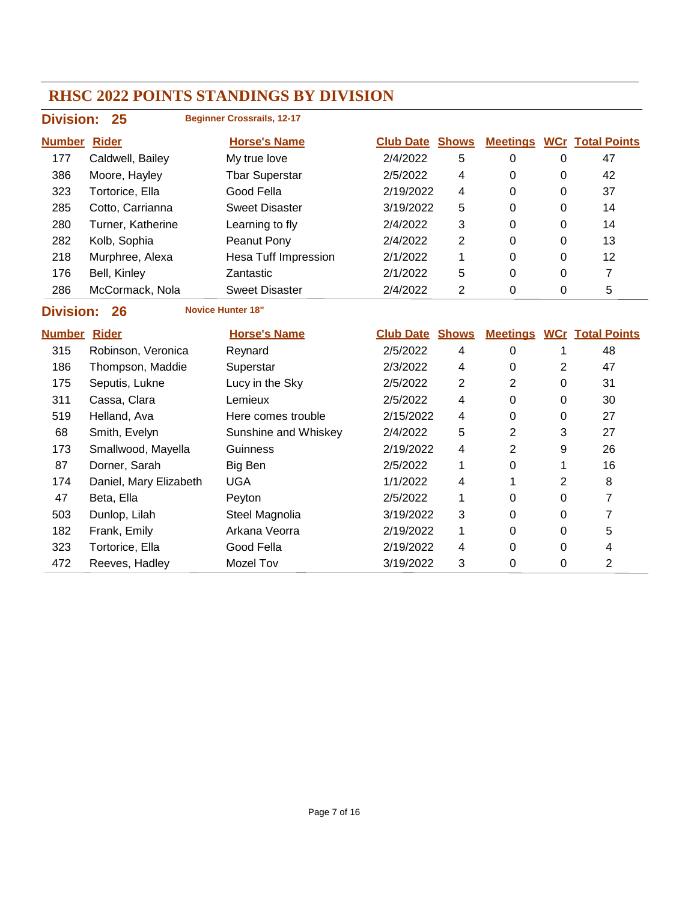| <b>Division:</b> | 25                | <b>Beginner Crossrails, 12-17</b> |                        |   |   |   |                                  |
|------------------|-------------------|-----------------------------------|------------------------|---|---|---|----------------------------------|
| <b>Number</b>    | <u>Rider</u>      | <b>Horse's Name</b>               | <b>Club Date Shows</b> |   |   |   | <b>Meetings WCr Total Points</b> |
| 177              | Caldwell, Bailey  | My true love                      | 2/4/2022               | 5 | 0 | 0 | 47                               |
| 386              | Moore, Hayley     | <b>Tbar Superstar</b>             | 2/5/2022               | 4 | 0 | 0 | 42                               |
| 323              | Tortorice, Ella   | Good Fella                        | 2/19/2022              | 4 | 0 | 0 | 37                               |
| 285              | Cotto, Carrianna  | <b>Sweet Disaster</b>             | 3/19/2022              | 5 | 0 | 0 | 14                               |
| 280              | Turner, Katherine | Learning to fly                   | 2/4/2022               | 3 | 0 | 0 | 14                               |
| 282              | Kolb, Sophia      | Peanut Pony                       | 2/4/2022               | 2 | 0 | 0 | 13                               |
| 218              | Murphree, Alexa   | <b>Hesa Tuff Impression</b>       | 2/1/2022               | 1 | 0 | 0 | 12                               |
| 176              | Bell, Kinley      | Zantastic                         | 2/1/2022               | 5 | 0 | 0 |                                  |
| 286              | McCormack, Nola   | <b>Sweet Disaster</b>             | 2/4/2022               | 2 | 0 | 0 | 5                                |
|                  |                   |                                   |                        |   |   |   |                                  |

**Division: 26 Novice Hunter 18"**

| <b>Number</b> | <b>Rider</b>           | <b>Horse's Name</b>  | <b>Club Date</b> | <b>Shows</b> | <b>Meetings</b> |          | <b>WCr Total Points</b> |
|---------------|------------------------|----------------------|------------------|--------------|-----------------|----------|-------------------------|
| 315           | Robinson, Veronica     | Reynard              | 2/5/2022         | 4            | $\Omega$        |          | 48                      |
| 186           | Thompson, Maddie       | Superstar            | 2/3/2022         | 4            | 0               | 2        | 47                      |
| 175           | Seputis, Lukne         | Lucy in the Sky      | 2/5/2022         | 2            | 2               | 0        | 31                      |
| 311           | Cassa, Clara           | Lemieux              | 2/5/2022         | 4            | 0               | 0        | 30                      |
| 519           | Helland, Ava           | Here comes trouble   | 2/15/2022        | 4            | 0               | 0        | 27                      |
| 68            | Smith, Evelyn          | Sunshine and Whiskey | 2/4/2022         | 5            | 2               | 3        | 27                      |
| 173           | Smallwood, Mayella     | Guinness             | 2/19/2022        | 4            | 2               | 9        | 26                      |
| 87            | Dorner, Sarah          | Big Ben              | 2/5/2022         |              | 0               |          | 16                      |
| 174           | Daniel, Mary Elizabeth | <b>UGA</b>           | 1/1/2022         | 4            |                 | 2        | 8                       |
| 47            | Beta, Ella             | Peyton               | 2/5/2022         |              | 0               | 0        |                         |
| 503           | Dunlop, Lilah          | Steel Magnolia       | 3/19/2022        | 3            | $\Omega$        | 0        |                         |
| 182           | Frank, Emily           | Arkana Veorra        | 2/19/2022        | 1            | 0               | $\Omega$ | 5                       |
| 323           | Tortorice, Ella        | Good Fella           | 2/19/2022        | 4            | 0               | 0        | 4                       |
| 472           | Reeves, Hadley         | Mozel Tov            | 3/19/2022        | 3            | 0               | 0        | 2                       |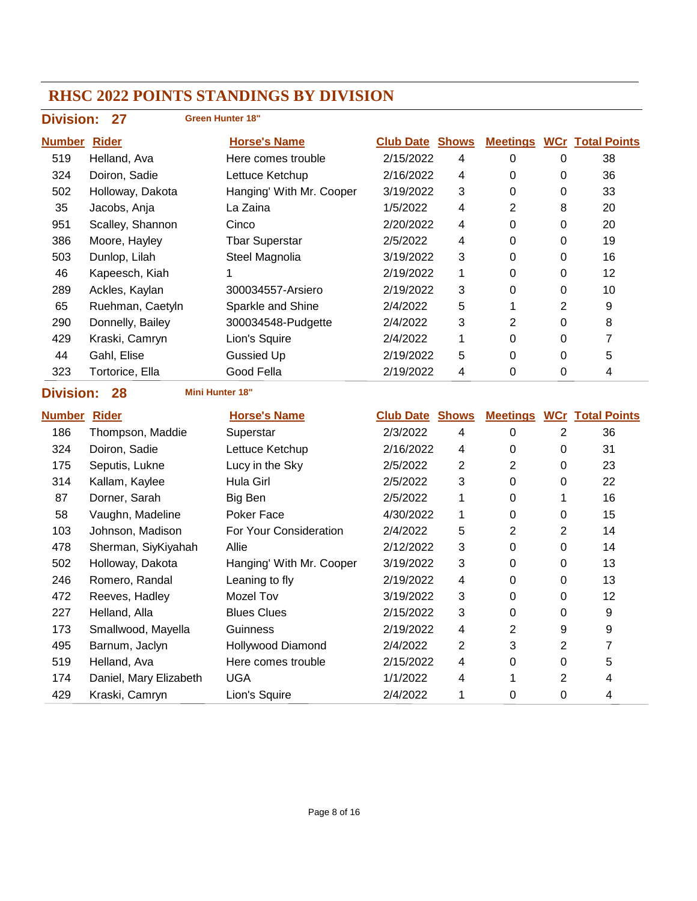|                                                  | <b>Division:</b><br>27<br><b>Green Hunter 18"</b> |                          |                        |                         |                  |                  |                                  |  |  |
|--------------------------------------------------|---------------------------------------------------|--------------------------|------------------------|-------------------------|------------------|------------------|----------------------------------|--|--|
| <b>Number Rider</b>                              |                                                   | <b>Horse's Name</b>      | <b>Club Date Shows</b> |                         |                  |                  | <b>Meetings WCr Total Points</b> |  |  |
| 519                                              | Helland, Ava                                      | Here comes trouble       | 2/15/2022              | $\overline{\mathbf{4}}$ | $\pmb{0}$        | $\pmb{0}$        | 38                               |  |  |
| 324                                              | Doiron, Sadie                                     | Lettuce Ketchup          | 2/16/2022              | 4                       | $\mathbf 0$      | 0                | 36                               |  |  |
| 502                                              | Holloway, Dakota                                  | Hanging' With Mr. Cooper | 3/19/2022              | 3                       | $\pmb{0}$        | 0                | 33                               |  |  |
| 35                                               | Jacobs, Anja                                      | La Zaina                 | 1/5/2022               | 4                       | $\mathbf{2}$     | 8                | 20                               |  |  |
| 951                                              | Scalley, Shannon                                  | Cinco                    | 2/20/2022              | 4                       | 0                | 0                | 20                               |  |  |
| 386                                              | Moore, Hayley                                     | <b>Tbar Superstar</b>    | 2/5/2022               | 4                       | 0                | $\mathbf 0$      | 19                               |  |  |
| 503                                              | Dunlop, Lilah                                     | Steel Magnolia           | 3/19/2022              | 3                       | $\pmb{0}$        | $\pmb{0}$        | 16                               |  |  |
| 46                                               | Kapeesch, Kiah                                    | 1                        | 2/19/2022              | 1                       | $\mathbf 0$      | $\mathbf 0$      | 12                               |  |  |
| 289                                              | Ackles, Kaylan                                    | 300034557-Arsiero        | 2/19/2022              | 3                       | 0                | $\pmb{0}$        | 10                               |  |  |
| 65                                               | Ruehman, Caetyln                                  | Sparkle and Shine        | 2/4/2022               | 5                       | 1                | $\overline{2}$   | 9                                |  |  |
| 290                                              | Donnelly, Bailey                                  | 300034548-Pudgette       | 2/4/2022               | 3                       | $\overline{2}$   | $\mathbf 0$      | 8                                |  |  |
| 429                                              | Kraski, Camryn                                    | Lion's Squire            | 2/4/2022               | 1                       | 0                | 0                | $\overline{7}$                   |  |  |
| 44                                               | Gahl, Elise                                       | <b>Gussied Up</b>        | 2/19/2022              | 5                       | 0                | 0                | 5                                |  |  |
| 323                                              | Tortorice, Ella                                   | Good Fella               | 2/19/2022              | 4                       | $\Omega$         | $\Omega$         | 4                                |  |  |
| <b>Division:</b><br><b>Mini Hunter 18"</b><br>28 |                                                   |                          |                        |                         |                  |                  |                                  |  |  |
|                                                  |                                                   |                          |                        |                         |                  |                  |                                  |  |  |
| <b>Number Rider</b>                              |                                                   | <b>Horse's Name</b>      | <b>Club Date Shows</b> |                         |                  |                  | <b>Meetings WCr Total Points</b> |  |  |
| 186                                              | Thompson, Maddie                                  | Superstar                | 2/3/2022               | $\overline{\mathbf{4}}$ | $\boldsymbol{0}$ | $\overline{2}$   | 36                               |  |  |
| 324                                              | Doiron, Sadie                                     | Lettuce Ketchup          | 2/16/2022              | 4                       | $\pmb{0}$        | $\mathbf 0$      | 31                               |  |  |
| 175                                              | Seputis, Lukne                                    | Lucy in the Sky          | 2/5/2022               | $\overline{c}$          | $\overline{2}$   | $\pmb{0}$        | 23                               |  |  |
| 314                                              | Kallam, Kaylee                                    | Hula Girl                | 2/5/2022               | 3                       | $\mathbf 0$      | 0                | 22                               |  |  |
| 87                                               | Dorner, Sarah                                     | Big Ben                  | 2/5/2022               | 1                       | 0                | 1                | 16                               |  |  |
| 58                                               | Vaughn, Madeline                                  | Poker Face               | 4/30/2022              | 1                       | 0                | $\mathbf 0$      | 15                               |  |  |
| 103                                              | Johnson, Madison                                  | For Your Consideration   | 2/4/2022               | 5                       | $\overline{2}$   | $\overline{2}$   | 14                               |  |  |
| 478                                              | Sherman, SiyKiyahah                               | Allie                    | 2/12/2022              | 3                       | $\mathbf 0$      | $\mathbf 0$      | 14                               |  |  |
| 502                                              | Holloway, Dakota                                  | Hanging' With Mr. Cooper | 3/19/2022              | 3                       | $\Omega$         | 0                | 13                               |  |  |
| 246                                              | Romero, Randal                                    | Leaning to fly           | 2/19/2022              | 4                       | 0                | 0                | 13                               |  |  |
| 472                                              | Reeves, Hadley                                    | Mozel Tov                | 3/19/2022              | 3                       | $\Omega$         | $\Omega$         | 12                               |  |  |
| 227                                              | Helland, Alla                                     | <b>Blues Clues</b>       | 2/15/2022              | 3                       | $\pmb{0}$        | 0                | $\boldsymbol{9}$                 |  |  |
| 173                                              | Smallwood, Mayella                                | Guinness                 | 2/19/2022              | 4                       | $\overline{c}$   | $\boldsymbol{9}$ | 9                                |  |  |
| 495                                              | Barnum, Jaclyn                                    | Hollywood Diamond        | 2/4/2022               | $\overline{2}$          | 3                | $\overline{2}$   | $\overline{7}$                   |  |  |
| 519                                              | Helland, Ava                                      | Here comes trouble       | 2/15/2022              | 4                       | $\pmb{0}$        | $\pmb{0}$        | 5                                |  |  |
| 174                                              | Daniel, Mary Elizabeth                            | <b>UGA</b>               | 1/1/2022               | 4                       | 1                | $\overline{2}$   | 4                                |  |  |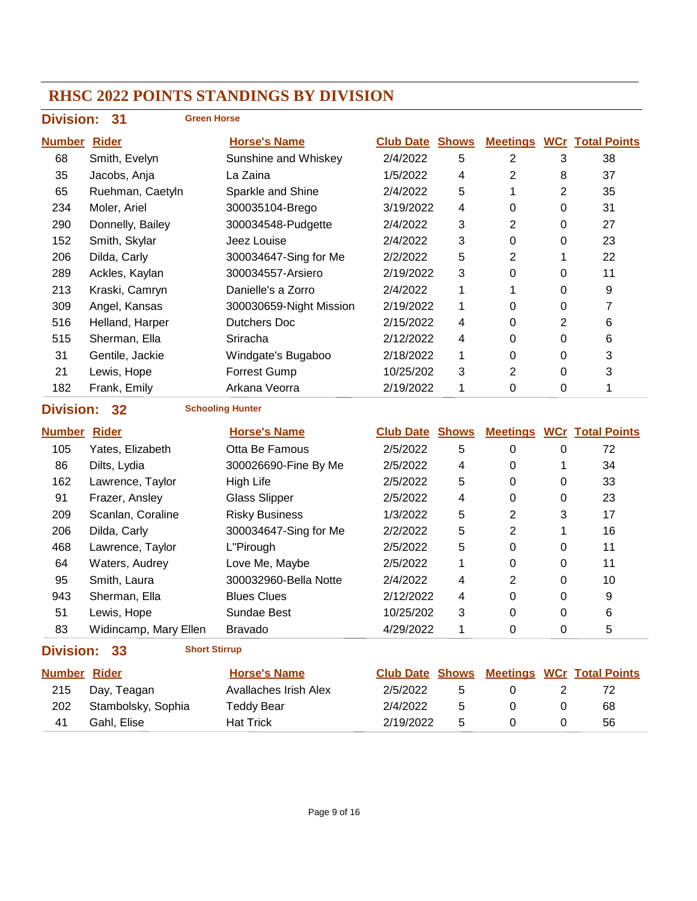## **Division: 31**

#### **Green Horse**

| <b>Number</b>    | <b>Rider</b>     | <b>Horse's Name</b>     | <b>Club Date</b> | <b>Shows</b> | <b>Meetings</b> |          | <b>WCr</b> Total Points |
|------------------|------------------|-------------------------|------------------|--------------|-----------------|----------|-------------------------|
| 68               | Smith, Evelyn    | Sunshine and Whiskey    | 2/4/2022         | 5            | 2               | 3        | 38                      |
| 35               | Jacobs, Anja     | La Zaina                | 1/5/2022         | 4            | 2               | 8        | 37                      |
| 65               | Ruehman, Caetyln | Sparkle and Shine       | 2/4/2022         | 5            | 1               | 2        | 35                      |
| 234              | Moler, Ariel     | 300035104-Brego         | 3/19/2022        | 4            | 0               | 0        | 31                      |
| 290              | Donnelly, Bailey | 300034548-Pudgette      | 2/4/2022         | 3            | $\overline{2}$  | $\Omega$ | 27                      |
| 152              | Smith, Skylar    | Jeez Louise             | 2/4/2022         | 3            | 0               | 0        | 23                      |
| 206              | Dilda, Carly     | 300034647-Sing for Me   | 2/2/2022         | 5            | 2               |          | 22                      |
| 289              | Ackles, Kaylan   | 300034557-Arsiero       | 2/19/2022        | 3            | 0               | 0        | 11                      |
| 213              | Kraski, Camryn   | Danielle's a Zorro      | 2/4/2022         | 1            |                 | 0        | 9                       |
| 309              | Angel, Kansas    | 300030659-Night Mission | 2/19/2022        | 1            | 0               | 0        | 7                       |
| 516              | Helland, Harper  | Dutchers Doc            | 2/15/2022        | 4            | 0               | 2        | 6                       |
| 515              | Sherman, Ella    | Sriracha                | 2/12/2022        | 4            | 0               | $\Omega$ | 6                       |
| 31               | Gentile, Jackie  | Windgate's Bugaboo      | 2/18/2022        | 1            | 0               | 0        | 3                       |
| 21               | Lewis, Hope      | <b>Forrest Gump</b>     | 10/25/202        | 3            | 2               | 0        | 3                       |
| 182              | Frank, Emily     | Arkana Veorra           | 2/19/2022        | 1            | 0               | $\Omega$ | 1                       |
| <b>Division:</b> | $32 \,$          | <b>Schooling Hunter</b> |                  |              |                 |          |                         |

| <u>Number</u> | <b>Rider</b>          | <b>Horse's Name</b>   | <b>Club Date Shows</b> |   | <b>Meetings</b> |          | <b>WCr</b> Total Points |
|---------------|-----------------------|-----------------------|------------------------|---|-----------------|----------|-------------------------|
| 105           | Yates, Elizabeth      | Otta Be Famous        | 2/5/2022               | 5 | 0               | 0        | 72                      |
| 86            | Dilts, Lydia          | 300026690-Fine By Me  | 2/5/2022               | 4 | 0               |          | 34                      |
| 162           | Lawrence, Taylor      | High Life             | 2/5/2022               | 5 | 0               | 0        | 33                      |
| 91            | Frazer, Ansley        | <b>Glass Slipper</b>  | 2/5/2022               | 4 | 0               | 0        | 23                      |
| 209           | Scanlan, Coraline     | <b>Risky Business</b> | 1/3/2022               | 5 | 2               | 3        | 17                      |
| 206           | Dilda, Carly          | 300034647-Sing for Me | 2/2/2022               | 5 | 2               |          | 16                      |
| 468           | Lawrence, Taylor      | L"Pirough             | 2/5/2022               | 5 | 0               | $\Omega$ | 11                      |
| 64            | Waters, Audrey        | Love Me, Maybe        | 2/5/2022               |   | 0               | 0        | 11                      |
| 95            | Smith, Laura          | 300032960-Bella Notte | 2/4/2022               | 4 | 2               | $\Omega$ | 10                      |
| 943           | Sherman, Ella         | <b>Blues Clues</b>    | 2/12/2022              | 4 | 0               | 0        | 9                       |
| 51            | Lewis, Hope           | Sundae Best           | 10/25/202              | 3 | 0               | 0        | 6                       |
| 83            | Widincamp, Mary Ellen | <b>Bravado</b>        | 4/29/2022              |   | 0               | 0        | 5                       |

#### **Division: 33 Short Stirrup**

| <b>Number Rider</b> |                    | <b>Horse's Name</b>   | <b>Club Date Shows</b> |    |  | <b>Meetings WCr Total Points</b> |
|---------------------|--------------------|-----------------------|------------------------|----|--|----------------------------------|
| 215                 | Day, Teagan        | Avallaches Irish Alex | 2/5/2022               | -5 |  |                                  |
| 202                 | Stambolsky, Sophia | Teddy Bear            | 2/4/2022               | -5 |  | 68                               |
| 41                  | Gahl, Elise        | <b>Hat Trick</b>      | 2/19/2022              | .5 |  | 56                               |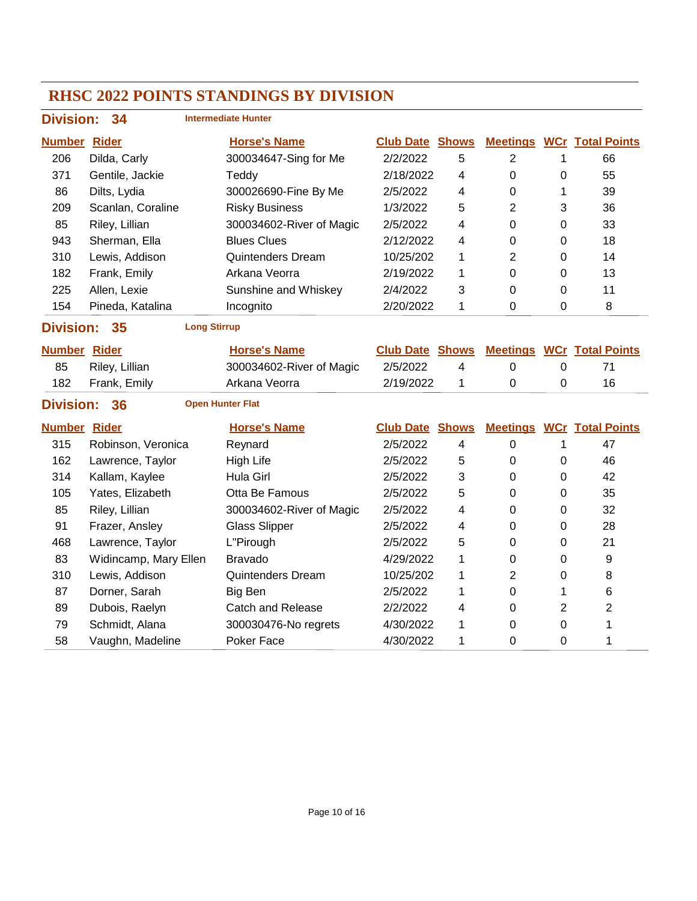| <b>Division:</b>    | 34                                            |  | <b>Intermediate Hunter</b> |                        |              |                 |             |                                  |
|---------------------|-----------------------------------------------|--|----------------------------|------------------------|--------------|-----------------|-------------|----------------------------------|
| <b>Number Rider</b> |                                               |  | <b>Horse's Name</b>        | <b>Club Date Shows</b> |              | <b>Meetings</b> |             | <b>WCr</b> Total Points          |
| 206                 | Dilda, Carly                                  |  | 300034647-Sing for Me      | 2/2/2022               | 5            | $\overline{2}$  | 1           | 66                               |
| 371                 | Gentile, Jackie                               |  | Teddy                      | 2/18/2022              | 4            | $\mathbf 0$     | 0           | 55                               |
| 86                  | Dilts, Lydia                                  |  | 300026690-Fine By Me       | 2/5/2022               | 4            | 0               | 1           | 39                               |
| 209                 | Scanlan, Coraline                             |  | <b>Risky Business</b>      | 1/3/2022               | 5            | 2               | 3           | 36                               |
| 85                  | Riley, Lillian                                |  | 300034602-River of Magic   | 2/5/2022               | 4            | 0               | 0           | 33                               |
| 943                 | Sherman, Ella                                 |  | <b>Blues Clues</b>         | 2/12/2022              | 4            | 0               | 0           | 18                               |
| 310                 | Lewis, Addison                                |  | <b>Quintenders Dream</b>   | 10/25/202              | 1            | 2               | 0           | 14                               |
| 182                 | Frank, Emily                                  |  | Arkana Veorra              | 2/19/2022              | $\mathbf{1}$ | 0               | 0           | 13                               |
| 225                 | Allen, Lexie                                  |  | Sunshine and Whiskey       | 2/4/2022               | 3            | 0               | 0           | 11                               |
| 154                 | Pineda, Katalina                              |  | Incognito                  | 2/20/2022              | 1            | 0               | 0           | 8                                |
|                     | <b>Division:</b><br><b>Long Stirrup</b><br>35 |  |                            |                        |              |                 |             |                                  |
| <b>Number Rider</b> |                                               |  | <b>Horse's Name</b>        | <b>Club Date Shows</b> |              | <b>Meetings</b> |             | <b>WCr</b> Total Points          |
| 85                  | Riley, Lillian                                |  | 300034602-River of Magic   | 2/5/2022               | 4            | $\mathbf 0$     | $\mathbf 0$ | 71                               |
| 182                 | Frank, Emily                                  |  | Arkana Veorra              | 2/19/2022              | 1            | 0               | 0           | 16                               |
| <b>Division:</b>    | 36                                            |  | <b>Open Hunter Flat</b>    |                        |              |                 |             |                                  |
| <b>Number Rider</b> |                                               |  | <b>Horse's Name</b>        | <b>Club Date Shows</b> |              |                 |             | <b>Meetings WCr Total Points</b> |
| 315                 | Robinson, Veronica                            |  | Reynard                    | 2/5/2022               | 4            | $\mathbf 0$     | 1           | 47                               |
| 162                 | Lawrence, Taylor                              |  | <b>High Life</b>           | 2/5/2022               | 5            | $\mathbf 0$     | 0           | 46                               |
| 314                 | Kallam, Kaylee                                |  | <b>Hula Girl</b>           | 2/5/2022               | 3            | 0               | 0           | 42                               |
| 105                 | Yates, Elizabeth                              |  | Otta Be Famous             | 2/5/2022               | 5            | 0               | 0           | 35                               |
| 85                  | Riley, Lillian                                |  | 300034602-River of Magic   | 2/5/2022               | 4            | 0               | 0           | 32                               |
| 91                  | Frazer, Ansley                                |  | <b>Glass Slipper</b>       | 2/5/2022               | 4            | 0               | 0           | 28                               |
| 468                 | Lawrence, Taylor                              |  | L"Pirough                  | 2/5/2022               | 5            | 0               | 0           | 21                               |
| 83                  | Widincamp, Mary Ellen                         |  | <b>Bravado</b>             | 4/29/2022              | 1            | 0               | 0           | 9                                |
| 310                 | Lewis, Addison                                |  | <b>Quintenders Dream</b>   | 10/25/202              | 1            | 2               | 0           | 8                                |
| 87                  | Dorner, Sarah                                 |  | Big Ben                    | 2/5/2022               | 1            | 0               | 1           | 6                                |
| 89                  | Dubois, Raelyn                                |  | <b>Catch and Release</b>   | 2/2/2022               | 4            | 0               | 2           | $\overline{2}$                   |
| 79                  | Schmidt, Alana                                |  | 300030476-No regrets       | 4/30/2022              | 1            | 0               | 0           | 1                                |
| 58                  | Vaughn, Madeline                              |  | Poker Face                 | 4/30/2022              | 1            | 0               | 0           | 1                                |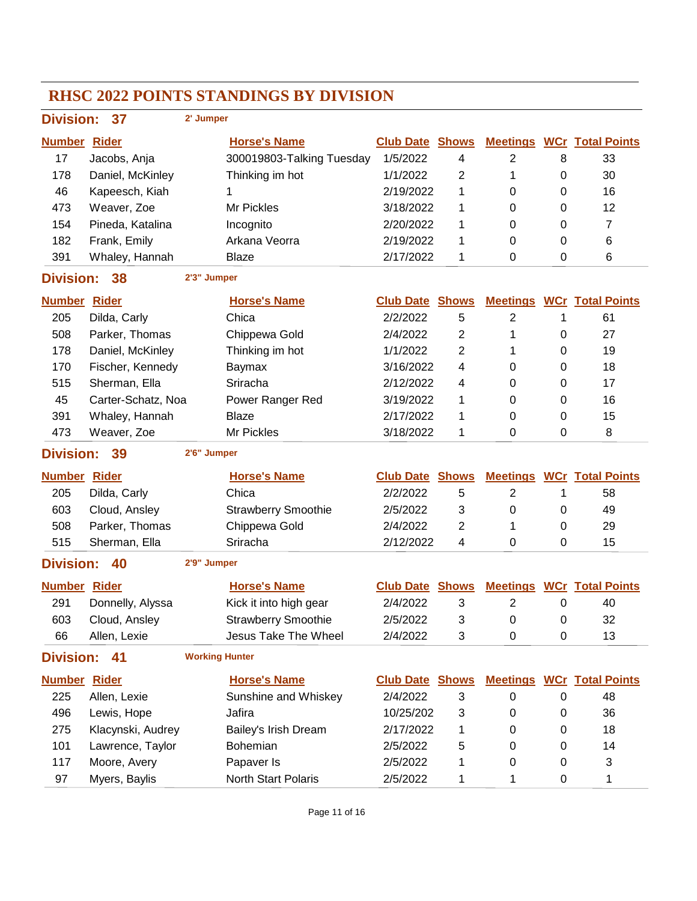| Division: 37        |                    | 2' Jumper             |                             |                        |                |                 |           |                                  |
|---------------------|--------------------|-----------------------|-----------------------------|------------------------|----------------|-----------------|-----------|----------------------------------|
| <b>Number Rider</b> |                    |                       | <b>Horse's Name</b>         | <b>Club Date Shows</b> |                | <b>Meetings</b> |           | <b>WCr</b> Total Points          |
| 17                  | Jacobs, Anja       |                       | 300019803-Talking Tuesday   | 1/5/2022               | 4              | $\overline{2}$  | 8         | 33                               |
| 178                 | Daniel, McKinley   |                       | Thinking im hot             | 1/1/2022               | 2              | 1               | 0         | 30                               |
| 46                  | Kapeesch, Kiah     |                       | 1                           | 2/19/2022              | 1              | 0               | 0         | 16                               |
| 473                 | Weaver, Zoe        |                       | Mr Pickles                  | 3/18/2022              | 1              | 0               | 0         | 12                               |
| 154                 | Pineda, Katalina   |                       | Incognito                   | 2/20/2022              | 1              | 0               | 0         | $\overline{7}$                   |
| 182                 | Frank, Emily       |                       | Arkana Veorra               | 2/19/2022              | 1              | $\Omega$        | 0         | 6                                |
| 391                 | Whaley, Hannah     |                       | <b>Blaze</b>                | 2/17/2022              | 1              | 0               | 0         | 6                                |
| <b>Division:</b>    | - 38               | 2'3" Jumper           |                             |                        |                |                 |           |                                  |
| <b>Number Rider</b> |                    |                       | <b>Horse's Name</b>         | <b>Club Date Shows</b> |                |                 |           | <b>Meetings WCr Total Points</b> |
| 205                 | Dilda, Carly       |                       | Chica                       | 2/2/2022               | 5              | $\overline{2}$  | 1         | 61                               |
| 508                 | Parker, Thomas     |                       | Chippewa Gold               | 2/4/2022               | $\overline{2}$ | 1               | 0         | 27                               |
| 178                 | Daniel, McKinley   |                       | Thinking im hot             | 1/1/2022               | 2              | 1               | 0         | 19                               |
| 170                 | Fischer, Kennedy   |                       | Baymax                      | 3/16/2022              | 4              | 0               | 0         | 18                               |
| 515                 | Sherman, Ella      |                       | Sriracha                    | 2/12/2022              | 4              | 0               | 0         | 17                               |
| 45                  | Carter-Schatz, Noa |                       | Power Ranger Red            | 3/19/2022              | 1              | 0               | 0         | 16                               |
| 391                 | Whaley, Hannah     |                       | <b>Blaze</b>                | 2/17/2022              | 1              | 0               | 0         | 15                               |
| 473                 | Weaver, Zoe        |                       | Mr Pickles                  | 3/18/2022              | 1              | 0               | 0         | 8                                |
| <b>Division:</b>    | 39                 | 2'6" Jumper           |                             |                        |                |                 |           |                                  |
| <b>Number Rider</b> |                    |                       | <b>Horse's Name</b>         | <b>Club Date Shows</b> |                |                 |           | <b>Meetings WCr Total Points</b> |
| 205                 | Dilda, Carly       |                       | Chica                       | 2/2/2022               | 5              | $\overline{2}$  | 1         | 58                               |
| 603                 | Cloud, Ansley      |                       | <b>Strawberry Smoothie</b>  | 2/5/2022               | 3              | 0               | 0         | 49                               |
| 508                 | Parker, Thomas     |                       | Chippewa Gold               | 2/4/2022               | $\overline{2}$ | 1               | 0         | 29                               |
| 515                 | Sherman, Ella      |                       | Sriracha                    | 2/12/2022              | 4              | 0               | 0         | 15                               |
| <b>Division:</b>    | 40                 | 2'9" Jumper           |                             |                        |                |                 |           |                                  |
| <b>Number Rider</b> |                    |                       | <b>Horse's Name</b>         | <b>Club Date Shows</b> |                |                 |           | <b>Meetings WCr Total Points</b> |
| 291                 | Donnelly, Alyssa   |                       | Kick it into high gear      | 2/4/2022               | 3              | 2               | 0         | 40                               |
| 603                 | Cloud, Ansley      |                       | <b>Strawberry Smoothie</b>  | 2/5/2022               | 3              | $\pmb{0}$       | $\pmb{0}$ | 32                               |
| 66                  | Allen, Lexie       |                       | <b>Jesus Take The Wheel</b> | 2/4/2022               | 3              | $\pmb{0}$       | 0         | 13                               |
| <b>Division:</b>    | 41                 | <b>Working Hunter</b> |                             |                        |                |                 |           |                                  |
| <b>Number Rider</b> |                    |                       | <b>Horse's Name</b>         | <b>Club Date Shows</b> |                |                 |           | <b>Meetings WCr Total Points</b> |
| 225                 | Allen, Lexie       |                       | Sunshine and Whiskey        | 2/4/2022               | 3              | $\mathbf 0$     | 0         | 48                               |
| 496                 | Lewis, Hope        |                       | Jafira                      | 10/25/202              | 3              | 0               | 0         | 36                               |
| 275                 | Klacynski, Audrey  |                       | Bailey's Irish Dream        | 2/17/2022              | 1              | 0               | 0         | 18                               |
| 101                 | Lawrence, Taylor   |                       | Bohemian                    | 2/5/2022               | 5              | 0               | 0         | 14                               |
| 117                 | Moore, Avery       |                       | Papaver Is                  | 2/5/2022               | 1              | 0               | 0         | 3                                |
| 97                  | Myers, Baylis      |                       | North Start Polaris         | 2/5/2022               | 1              | 1               | 0         | 1                                |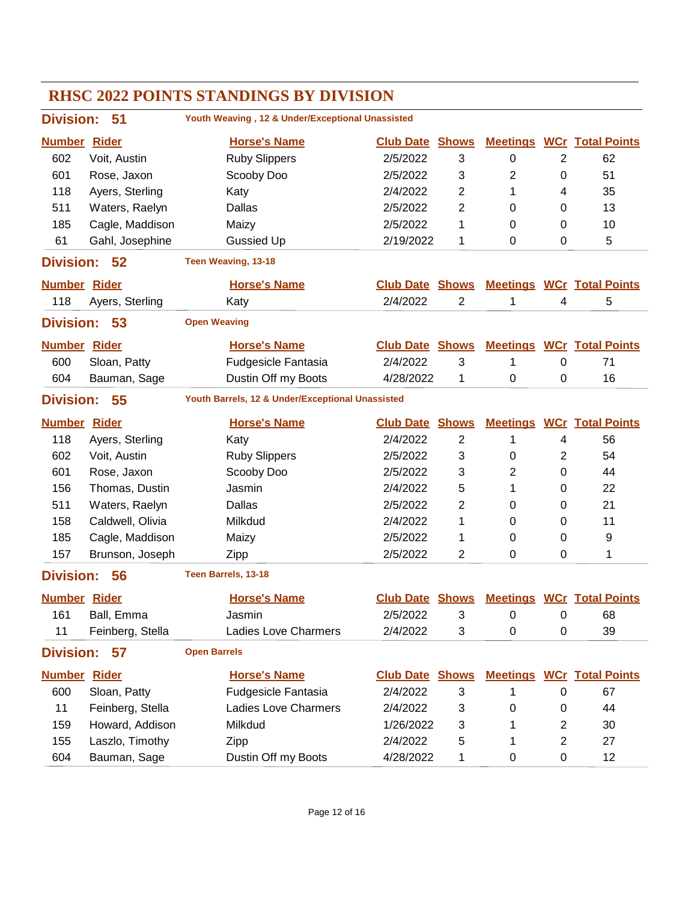| <b>Division:</b>       | 51               | Youth Weaving, 12 & Under/Exceptional Unassisted |                        |                |                 |             |                                  |
|------------------------|------------------|--------------------------------------------------|------------------------|----------------|-----------------|-------------|----------------------------------|
| <b>Number Rider</b>    |                  | <b>Horse's Name</b>                              | <b>Club Date Shows</b> |                | <b>Meetings</b> |             | <b>WCr</b> Total Points          |
| 602                    | Voit, Austin     | <b>Ruby Slippers</b>                             | 2/5/2022               | 3              | $\mathbf 0$     | 2           | 62                               |
| 601                    | Rose, Jaxon      | Scooby Doo                                       | 2/5/2022               | 3              | $\overline{2}$  | 0           | 51                               |
| 118                    | Ayers, Sterling  | Katy                                             | 2/4/2022               | 2              | 1               | 4           | 35                               |
| 511                    | Waters, Raelyn   | <b>Dallas</b>                                    | 2/5/2022               | 2              | 0               | 0           | 13                               |
| 185                    | Cagle, Maddison  | Maizy                                            | 2/5/2022               | 1              | 0               | 0           | 10                               |
| 61                     | Gahl, Josephine  | <b>Gussied Up</b>                                | 2/19/2022              | 1              | 0               | $\Omega$    | 5                                |
| <b>Division:</b>       | 52               | Teen Weaving, 13-18                              |                        |                |                 |             |                                  |
| <b>Number Rider</b>    |                  | <b>Horse's Name</b>                              | <b>Club Date</b>       | <b>Shows</b>   |                 |             | <b>Meetings WCr Total Points</b> |
| 118                    | Ayers, Sterling  | Katy                                             | 2/4/2022               | $\overline{2}$ | 1               | 4           | 5                                |
| <b>Division:</b>       | 53               | <b>Open Weaving</b>                              |                        |                |                 |             |                                  |
| <b>Number Rider</b>    |                  | <b>Horse's Name</b>                              | <b>Club Date Shows</b> |                | <b>Meetings</b> |             | <b>WCr</b> Total Points          |
| 600                    | Sloan, Patty     | <b>Fudgesicle Fantasia</b>                       | 2/4/2022               | 3              | 1               | 0           | 71                               |
| 604                    | Bauman, Sage     | Dustin Off my Boots                              | 4/28/2022              | 1              | $\mathbf 0$     | 0           | 16                               |
| <b>Division:</b><br>55 |                  | Youth Barrels, 12 & Under/Exceptional Unassisted |                        |                |                 |             |                                  |
| <b>Number</b>          | <b>Rider</b>     | <b>Horse's Name</b>                              | <b>Club Date</b>       | <b>Shows</b>   | <b>Meetings</b> |             | <b>WCr</b> Total Points          |
| 118                    | Ayers, Sterling  | Katy                                             | 2/4/2022               | $\overline{2}$ | 1               | 4           | 56                               |
| 602                    | Voit, Austin     | <b>Ruby Slippers</b>                             | 2/5/2022               | 3              | 0               | 2           | 54                               |
| 601                    | Rose, Jaxon      | Scooby Doo                                       | 2/5/2022               | 3              | 2               | 0           | 44                               |
| 156                    | Thomas, Dustin   | Jasmin                                           | 2/4/2022               | 5              | 1               | 0           | 22                               |
| 511                    | Waters, Raelyn   | Dallas                                           | 2/5/2022               | 2              | 0               | 0           | 21                               |
| 158                    | Caldwell, Olivia | Milkdud                                          | 2/4/2022               | 1              | 0               | 0           | 11                               |
| 185                    | Cagle, Maddison  | Maizy                                            | 2/5/2022               | 1              | 0               | 0           | 9                                |
| 157                    | Brunson, Joseph  | Zipp                                             | 2/5/2022               | 2              | 0               | 0           | 1                                |
| <b>Division:</b>       | 56               | Teen Barrels, 13-18                              |                        |                |                 |             |                                  |
| <b>Number Rider</b>    |                  | <b>Horse's Name</b>                              | <b>Club Date</b>       | <b>Shows</b>   |                 |             | <b>Meetings WCr Total Points</b> |
| 161                    | Ball, Emma       | Jasmin                                           | 2/5/2022               | 3              | 0               | 0           | 68                               |
| 11                     | Feinberg, Stella | <b>Ladies Love Charmers</b>                      | 2/4/2022               | 3              | 0               | 0           | 39                               |
| <b>Division:</b>       | 57               | <b>Open Barrels</b>                              |                        |                |                 |             |                                  |
| <b>Number Rider</b>    |                  | <b>Horse's Name</b>                              | <b>Club Date Shows</b> |                |                 |             | <b>Meetings WCr Total Points</b> |
| 600                    | Sloan, Patty     | <b>Fudgesicle Fantasia</b>                       | 2/4/2022               | 3              | 1               | $\pmb{0}$   | 67                               |
| 11                     | Feinberg, Stella | <b>Ladies Love Charmers</b>                      | 2/4/2022               | 3              | 0               | 0           | 44                               |
| 159                    | Howard, Addison  | Milkdud                                          | 1/26/2022              | 3              | 1               | 2           | 30                               |
| 155                    | Laszlo, Timothy  | Zipp                                             | 2/4/2022               | 5              | 1               | 2           | 27                               |
| 604                    | Bauman, Sage     | Dustin Off my Boots                              | 4/28/2022              | 1              | 0               | $\mathbf 0$ | 12                               |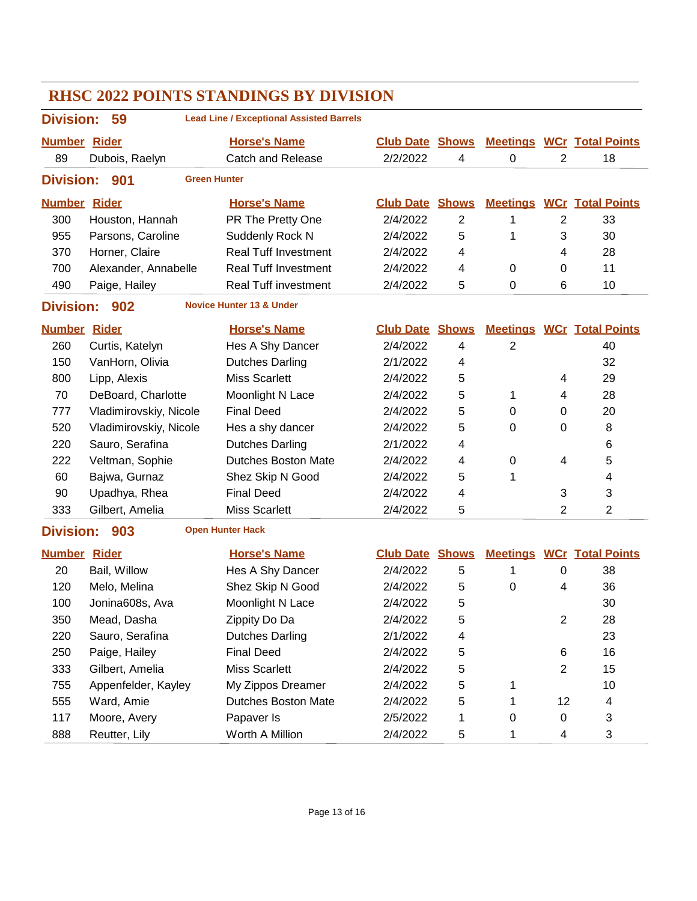| <b>RHSC 2022 POINTS STANDINGS BY DIVISION</b>                             |                        |                                     |                        |                |                |                  |                                  |  |  |  |
|---------------------------------------------------------------------------|------------------------|-------------------------------------|------------------------|----------------|----------------|------------------|----------------------------------|--|--|--|
| <b>Lead Line / Exceptional Assisted Barrels</b><br><b>Division:</b><br>59 |                        |                                     |                        |                |                |                  |                                  |  |  |  |
| <b>Number Rider</b>                                                       |                        | <b>Horse's Name</b>                 | <b>Club Date Shows</b> |                |                |                  | <b>Meetings WCr Total Points</b> |  |  |  |
| 89                                                                        | Dubois, Raelyn         | <b>Catch and Release</b>            | 2/2/2022               | 4              | $\mathbf 0$    | $\overline{2}$   | 18                               |  |  |  |
| <b>Division:</b>                                                          | 901                    | <b>Green Hunter</b>                 |                        |                |                |                  |                                  |  |  |  |
| <b>Number Rider</b>                                                       |                        | <b>Horse's Name</b>                 | <b>Club Date Shows</b> |                |                |                  | <b>Meetings WCr Total Points</b> |  |  |  |
| 300                                                                       | Houston, Hannah        | PR The Pretty One                   | 2/4/2022               | $\overline{c}$ | 1              | $\overline{2}$   | 33                               |  |  |  |
| 955                                                                       | Parsons, Caroline      | Suddenly Rock N                     | 2/4/2022               | 5              | 1              | 3                | 30                               |  |  |  |
| 370                                                                       | Horner, Claire         | <b>Real Tuff Investment</b>         | 2/4/2022               | 4              |                | 4                | 28                               |  |  |  |
| 700                                                                       | Alexander, Annabelle   | <b>Real Tuff Investment</b>         | 2/4/2022               | 4              | $\pmb{0}$      | 0                | 11                               |  |  |  |
| 490                                                                       | Paige, Hailey          | <b>Real Tuff investment</b>         | 2/4/2022               | 5              | 0              | 6                | 10                               |  |  |  |
| <b>Division:</b>                                                          | 902                    | <b>Novice Hunter 13 &amp; Under</b> |                        |                |                |                  |                                  |  |  |  |
| <b>Number Rider</b>                                                       |                        | <b>Horse's Name</b>                 | <b>Club Date Shows</b> |                |                |                  | <b>Meetings WCr Total Points</b> |  |  |  |
| 260                                                                       | Curtis, Katelyn        | Hes A Shy Dancer                    | 2/4/2022               | 4              | $\overline{2}$ |                  | 40                               |  |  |  |
| 150                                                                       | VanHorn, Olivia        | <b>Dutches Darling</b>              | 2/1/2022               | 4              |                |                  | 32                               |  |  |  |
| 800                                                                       | Lipp, Alexis           | <b>Miss Scarlett</b>                | 2/4/2022               | 5              |                | 4                | 29                               |  |  |  |
| 70                                                                        | DeBoard, Charlotte     | Moonlight N Lace                    | 2/4/2022               | 5              | 1              | 4                | 28                               |  |  |  |
| 777                                                                       | Vladimirovskiy, Nicole | <b>Final Deed</b>                   | 2/4/2022               | 5              | 0              | 0                | 20                               |  |  |  |
| 520                                                                       | Vladimirovskiy, Nicole | Hes a shy dancer                    | 2/4/2022               | 5              | 0              | 0                | 8                                |  |  |  |
| 220                                                                       | Sauro, Serafina        | <b>Dutches Darling</b>              | 2/1/2022               | 4              |                |                  | 6                                |  |  |  |
| 222                                                                       | Veltman, Sophie        | <b>Dutches Boston Mate</b>          | 2/4/2022               | 4              | $\pmb{0}$      | 4                | 5                                |  |  |  |
| 60                                                                        | Bajwa, Gurnaz          | Shez Skip N Good                    | 2/4/2022               | 5              | 1              |                  | 4                                |  |  |  |
| 90                                                                        | Upadhya, Rhea          | <b>Final Deed</b>                   | 2/4/2022               | 4              |                | 3                | 3                                |  |  |  |
| 333                                                                       | Gilbert, Amelia        | <b>Miss Scarlett</b>                | 2/4/2022               | 5              |                | 2                | 2                                |  |  |  |
| <b>Division:</b>                                                          | 903                    | <b>Open Hunter Hack</b>             |                        |                |                |                  |                                  |  |  |  |
| <b>Number Rider</b>                                                       |                        | <b>Horse's Name</b>                 | <b>Club Date Shows</b> |                |                |                  | <b>Meetings WCr Total Points</b> |  |  |  |
| 20                                                                        | Bail, Willow           | Hes A Shy Dancer                    | 2/4/2022               | 5              | 1              | 0                | 38                               |  |  |  |
| 120                                                                       | Melo, Melina           | Shez Skip N Good                    | 2/4/2022               | 5              | 0              | 4                | 36                               |  |  |  |
| 100                                                                       | Jonina608s, Ava        | Moonlight N Lace                    | 2/4/2022               | 5              |                |                  | 30                               |  |  |  |
| 350                                                                       | Mead, Dasha            | Zippity Do Da                       | 2/4/2022               | 5              |                | $\boldsymbol{2}$ | 28                               |  |  |  |
| 220                                                                       | Sauro, Serafina        | <b>Dutches Darling</b>              | 2/1/2022               | 4              |                |                  | 23                               |  |  |  |
| 250                                                                       | Paige, Hailey          | <b>Final Deed</b>                   | 2/4/2022               | 5              |                | 6                | 16                               |  |  |  |
| 333                                                                       | Gilbert, Amelia        | <b>Miss Scarlett</b>                | 2/4/2022               | 5              |                | $\overline{2}$   | 15                               |  |  |  |
| 755                                                                       | Appenfelder, Kayley    | My Zippos Dreamer                   | 2/4/2022               | 5              | 1              |                  | 10                               |  |  |  |
| 555                                                                       | Ward, Amie             | <b>Dutches Boston Mate</b>          | 2/4/2022               | 5              | 1              | 12               | 4                                |  |  |  |
| 117                                                                       | Moore, Avery           | Papaver Is                          | 2/5/2022               | 1              | 0              | 0                | 3                                |  |  |  |
| 888                                                                       | Reutter, Lily          | Worth A Million                     | 2/4/2022               | 5              | 1              | 4                | 3                                |  |  |  |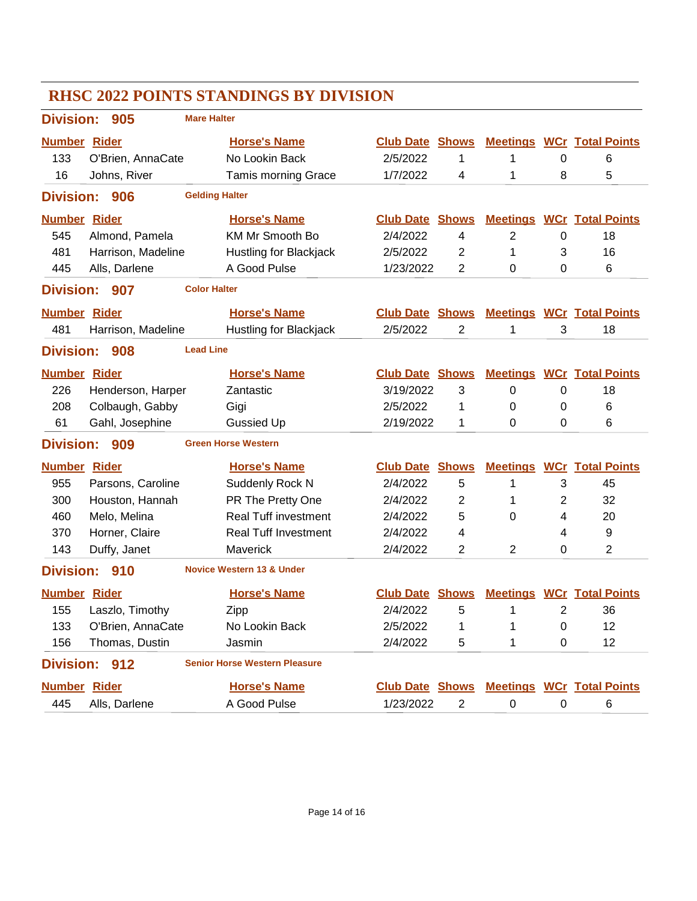| <b>RHSC 2022 POINTS STANDINGS BY DIVISION</b> |                                                |                                      |                        |                |                 |                |                                  |  |  |
|-----------------------------------------------|------------------------------------------------|--------------------------------------|------------------------|----------------|-----------------|----------------|----------------------------------|--|--|
| <b>Mare Halter</b><br><b>Division:</b><br>905 |                                                |                                      |                        |                |                 |                |                                  |  |  |
| <b>Number Rider</b>                           |                                                | <b>Horse's Name</b>                  | <b>Club Date</b>       | <b>Shows</b>   |                 |                | <b>Meetings WCr Total Points</b> |  |  |
| 133                                           | O'Brien, AnnaCate                              | No Lookin Back                       | 2/5/2022               | 1              | 1               | 0              | 6                                |  |  |
| 16                                            | Johns, River                                   | <b>Tamis morning Grace</b>           | 1/7/2022               | 4              | 1               | 8              | 5                                |  |  |
| <b>Division:</b>                              | 906                                            | <b>Gelding Halter</b>                |                        |                |                 |                |                                  |  |  |
| <b>Number Rider</b>                           |                                                | <b>Horse's Name</b>                  | <b>Club Date</b>       | <b>Shows</b>   |                 |                | <b>Meetings WCr Total Points</b> |  |  |
| 545                                           | Almond, Pamela                                 | KM Mr Smooth Bo                      | 2/4/2022               | 4              | $\overline{2}$  | $\pmb{0}$      | 18                               |  |  |
| 481                                           | Harrison, Madeline                             | Hustling for Blackjack               | 2/5/2022               | $\overline{2}$ | 1               | 3              | 16                               |  |  |
| 445                                           | Alls, Darlene                                  | A Good Pulse                         | 1/23/2022              | 2              | 0               | 0              | 6                                |  |  |
|                                               | <b>Color Halter</b><br><b>Division:</b><br>907 |                                      |                        |                |                 |                |                                  |  |  |
| <b>Number Rider</b>                           |                                                | <b>Horse's Name</b>                  | <b>Club Date</b>       | <b>Shows</b>   | <b>Meetings</b> |                | <b>WCr</b> Total Points          |  |  |
| 481                                           | Harrison, Madeline                             | <b>Hustling for Blackjack</b>        | 2/5/2022               | $\overline{2}$ | 1               | 3              | 18                               |  |  |
| <b>Lead Line</b><br><b>Division:</b><br>908   |                                                |                                      |                        |                |                 |                |                                  |  |  |
| <b>Number Rider</b>                           |                                                | <b>Horse's Name</b>                  | <b>Club Date</b>       | <b>Shows</b>   | <b>Meetings</b> |                | <b>WCr</b> Total Points          |  |  |
| 226                                           | Henderson, Harper                              | Zantastic                            | 3/19/2022              | 3              | 0               | 0              | 18                               |  |  |
| 208                                           | Colbaugh, Gabby                                | Gigi                                 | 2/5/2022               | 1              | 0               | 0              | 6                                |  |  |
| 61                                            | Gahl, Josephine                                | <b>Gussied Up</b>                    | 2/19/2022              | 1              | $\Omega$        | 0              | 6                                |  |  |
| <b>Division:</b>                              | 909                                            | <b>Green Horse Western</b>           |                        |                |                 |                |                                  |  |  |
| <b>Number Rider</b>                           |                                                | <b>Horse's Name</b>                  | <b>Club Date</b>       | <b>Shows</b>   | <b>Meetings</b> |                | <b>WCr</b> Total Points          |  |  |
| 955                                           | Parsons, Caroline                              | Suddenly Rock N                      | 2/4/2022               | 5              | 1               | 3              | 45                               |  |  |
| 300                                           | Houston, Hannah                                | PR The Pretty One                    | 2/4/2022               | 2              | 1               | 2              | 32                               |  |  |
| 460                                           | Melo, Melina                                   | <b>Real Tuff investment</b>          | 2/4/2022               | 5              | 0               | 4              | 20                               |  |  |
| 370                                           | Horner, Claire                                 | <b>Real Tuff Investment</b>          | 2/4/2022               | 4              |                 | 4              | 9                                |  |  |
| 143                                           | Duffy, Janet                                   | Maverick                             | 2/4/2022               | 2              | $\overline{2}$  | 0              | 2                                |  |  |
| <b>Division:</b>                              | 910                                            | <b>Novice Western 13 &amp; Under</b> |                        |                |                 |                |                                  |  |  |
| <b>Number Rider</b>                           |                                                | <b>Horse's Name</b>                  | <b>Club Date Shows</b> |                |                 |                | <b>Meetings WCr Total Points</b> |  |  |
| 155                                           | Laszlo, Timothy                                | Zipp                                 | 2/4/2022               | 5              | 1               | $\overline{2}$ | 36                               |  |  |
| 133                                           | O'Brien, AnnaCate                              | No Lookin Back                       | 2/5/2022               | 1              | 1               | 0              | 12                               |  |  |
| 156                                           | Thomas, Dustin                                 | Jasmin                               | 2/4/2022               | 5              | 1               | 0              | 12                               |  |  |
| <b>Division:</b>                              | 912                                            | <b>Senior Horse Western Pleasure</b> |                        |                |                 |                |                                  |  |  |
| <b>Number Rider</b>                           |                                                | <b>Horse's Name</b>                  | <b>Club Date Shows</b> |                |                 |                | <b>Meetings WCr Total Points</b> |  |  |
| 445                                           | Alls, Darlene                                  | A Good Pulse                         | 1/23/2022              | $\overline{c}$ | $\pmb{0}$       | $\pmb{0}$      | 6                                |  |  |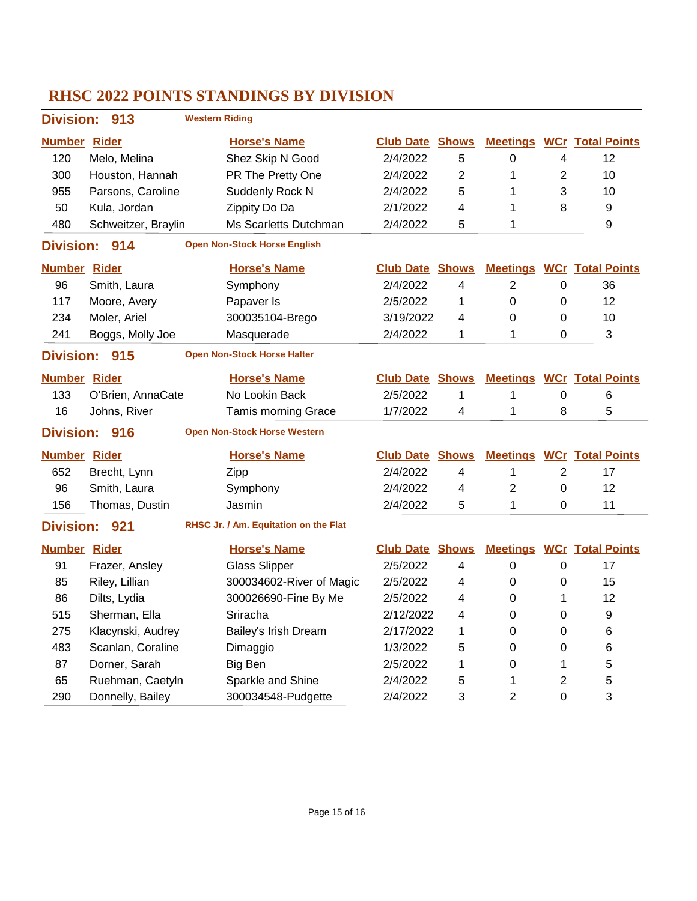|                     |                     | <b>RHSC 2022 POINTS STANDINGS BY DIVISION</b> |                        |                |                 |   |                                  |
|---------------------|---------------------|-----------------------------------------------|------------------------|----------------|-----------------|---|----------------------------------|
|                     | Division: 913       | <b>Western Riding</b>                         |                        |                |                 |   |                                  |
| <b>Number Rider</b> |                     | <b>Horse's Name</b>                           | <b>Club Date</b>       | <b>Shows</b>   | <b>Meetings</b> |   | <b>WCr</b> Total Points          |
| 120                 | Melo, Melina        | Shez Skip N Good                              | 2/4/2022               | 5              | 0               | 4 | 12                               |
| 300                 | Houston, Hannah     | PR The Pretty One                             | 2/4/2022               | $\overline{2}$ | 1               | 2 | 10                               |
| 955                 | Parsons, Caroline   | Suddenly Rock N                               | 2/4/2022               | 5              | 1               | 3 | 10                               |
| 50                  | Kula, Jordan        | Zippity Do Da                                 | 2/1/2022               | 4              | 1               | 8 | 9                                |
| 480                 | Schweitzer, Braylin | Ms Scarletts Dutchman                         | 2/4/2022               | 5              | 1               |   | 9                                |
| <b>Division:</b>    | 914                 | <b>Open Non-Stock Horse English</b>           |                        |                |                 |   |                                  |
| <b>Number Rider</b> |                     | <b>Horse's Name</b>                           | <b>Club Date Shows</b> |                |                 |   | <b>Meetings WCr Total Points</b> |
| 96                  | Smith, Laura        | Symphony                                      | 2/4/2022               | 4              | $\overline{2}$  | 0 | 36                               |
| 117                 | Moore, Avery        | Papaver Is                                    | 2/5/2022               | 1              | $\mathbf 0$     | 0 | 12                               |
| 234                 | Moler, Ariel        | 300035104-Brego                               | 3/19/2022              | 4              | 0               | 0 | 10                               |
| 241                 | Boggs, Molly Joe    | Masquerade                                    | 2/4/2022               | 1              | 1               | 0 | 3                                |
| <b>Division:</b>    | 915                 | <b>Open Non-Stock Horse Halter</b>            |                        |                |                 |   |                                  |
| <b>Number Rider</b> |                     | <b>Horse's Name</b>                           | <b>Club Date</b>       | <b>Shows</b>   | <b>Meetings</b> |   | <b>WCr Total Points</b>          |
| 133                 | O'Brien, AnnaCate   | No Lookin Back                                | 2/5/2022               | 1              | 1               | 0 | 6                                |
| 16                  | Johns, River        | <b>Tamis morning Grace</b>                    | 1/7/2022               | 4              | 1               | 8 | 5                                |
| <b>Division:</b>    | 916                 | <b>Open Non-Stock Horse Western</b>           |                        |                |                 |   |                                  |
| <b>Number</b>       | <b>Rider</b>        | <b>Horse's Name</b>                           | <b>Club Date</b>       | <b>Shows</b>   | <b>Meetings</b> |   | <b>WCr</b> Total Points          |
| 652                 | Brecht, Lynn        | Zipp                                          | 2/4/2022               | 4              | 1               | 2 | 17                               |
| 96                  | Smith, Laura        | Symphony                                      | 2/4/2022               | 4              | 2               | 0 | 12                               |
| 156                 | Thomas, Dustin      | Jasmin                                        | 2/4/2022               | 5              | 1               | 0 | 11                               |
| <b>Division:</b>    | 921                 | RHSC Jr. / Am. Equitation on the Flat         |                        |                |                 |   |                                  |
| <b>Number Rider</b> |                     | <b>Horse's Name</b>                           | <b>Club Date Shows</b> |                | <b>Meetings</b> |   | <b>WCr</b> Total Points          |
| 91                  | Frazer, Ansley      | <b>Glass Slipper</b>                          | 2/5/2022               | 4              | 0               | 0 | 17                               |
| 85                  | Riley, Lillian      | 300034602-River of Magic                      | 2/5/2022               | 4              | 0               | 0 | 15                               |
| 86                  | Dilts, Lydia        | 300026690-Fine By Me                          | 2/5/2022               | 4              | 0               | 1 | 12                               |
| 515                 | Sherman, Ella       | Sriracha                                      | 2/12/2022              | 4              | 0               | 0 | 9                                |
| 275                 | Klacynski, Audrey   | Bailey's Irish Dream                          | 2/17/2022              | 1              | 0               | 0 | 6                                |
| 483                 | Scanlan, Coraline   | Dimaggio                                      | 1/3/2022               | 5              | 0               | 0 | 6                                |
| 87                  | Dorner, Sarah       | Big Ben                                       | 2/5/2022               | 1              | 0               | 1 | 5                                |
| 65                  | Ruehman, Caetyln    | Sparkle and Shine                             | 2/4/2022               | 5              | 1               | 2 | 5                                |
| 290                 | Donnelly, Bailey    | 300034548-Pudgette                            | 2/4/2022               | 3              | $\overline{c}$  | 0 | 3                                |